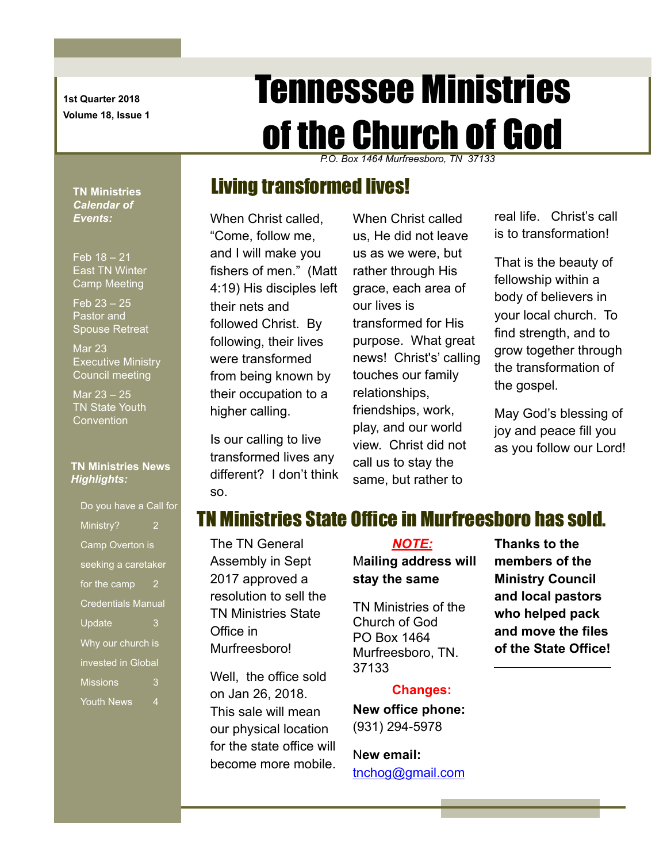**1st Quarter 2018 Volume 18, Issue 1**

# Tennessee Ministries of the Church of God

*P.O. Box 1464 Murfreesboro, TN 37133*

### Living transformed lives!

When Christ called, "Come, follow me, and I will make you fishers of men." (Matt 4:19) His disciples left their nets and followed Christ. By following, their lives were transformed from being known by their occupation to a higher calling.

Is our calling to live transformed lives any different? I don't think so.

When Christ called us, He did not leave us as we were, but rather through His grace, each area of our lives is transformed for His purpose. What great news! Christ's' calling touches our family relationships, friendships, work, play, and our world view. Christ did not call us to stay the same, but rather to

real life. Christ's call is to transformation!

That is the beauty of fellowship within a body of believers in your local church. To find strength, and to grow together through the transformation of the gospel.

May God's blessing of joy and peace fill you as you follow our Lord!

#### TN Ministries State Office in Murfreesboro has sold.

The TN General Assembly in Sept 2017 approved a resolution to sell the TN Ministries State Office in Murfreesboro!

Well, the office sold on Jan 26, 2018. This sale will mean our physical location for the state office will become more mobile.

#### *NOTE:* M**ailing address will stay the same**

TN Ministries of the Church of God PO Box 1464 Murfreesboro, TN. 37133

#### **Changes:**

**New office phone:** (931) 294-5978

N**ew email:** [tnchog@gmail.com](mailto:tnchog@gmail.com) **Thanks to the members of the Ministry Council and local pastors who helped pack and move the files of the State Office!**

**TN Ministries**  *Calendar of Events:*

Feb 18 – 21 East TN Winter Camp Meeting

Feb 23 – 25 Pastor and Spouse Retreat

Mar 23 Executive Ministry Council meeting

Mar 23 – 25 TN State Youth **Convention** 

#### **TN Ministries News** *Highlights:*

Do you have a Call for Ministry? 2 Camp Overton is seeking a caretaker for the camp  $2$ Credentials Manual Update 3 Why our church is invested in Global Missions 3 Youth News 4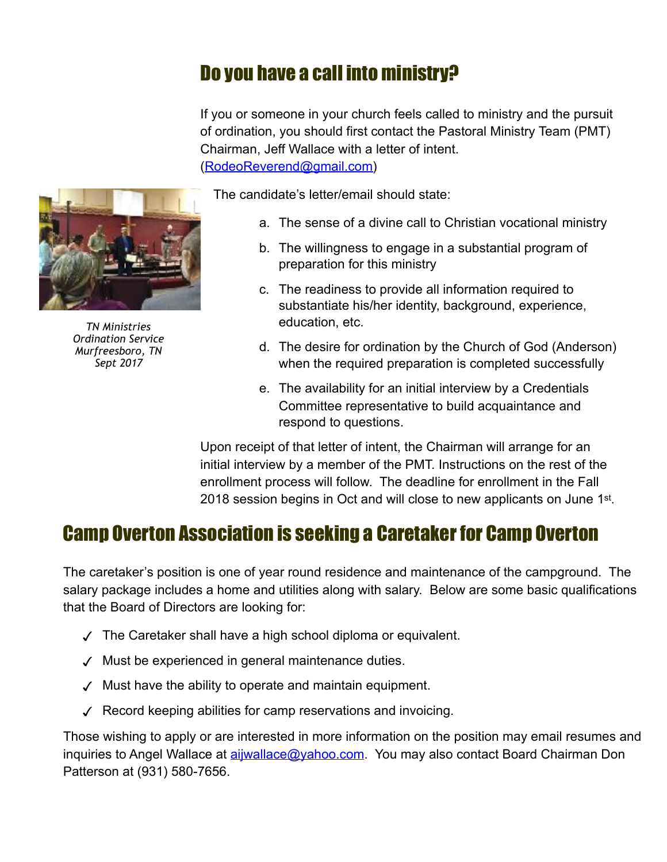# Do you have a call into ministry?

If you or someone in your church feels called to ministry and the pursuit of ordination, you should first contact the Pastoral Ministry Team (PMT) Chairman, Jeff Wallace with a letter of intent. ([RodeoReverend@gmail.com](mailto:RodeoReverend@gmail.com))

*TN Ministries Ordination Service Murfreesboro, TN Sept 2017*

The candidate's letter/email should state:

- a. The sense of a divine call to Christian vocational ministry
- b. The willingness to engage in a substantial program of preparation for this ministry
- c. The readiness to provide all information required to substantiate his/her identity, background, experience, education, etc.
- d. The desire for ordination by the Church of God (Anderson) when the required preparation is completed successfully
- e. The availability for an initial interview by a Credentials Committee representative to build acquaintance and respond to questions.

Upon receipt of that letter of intent, the Chairman will arrange for an initial interview by a member of the PMT. Instructions on the rest of the enrollment process will follow. The deadline for enrollment in the Fall 2018 session begins in Oct and will close to new applicants on June 1st.

### Camp Overton Association is seeking a Caretaker for Camp Overton

The caretaker's position is one of year round residence and maintenance of the campground. The salary package includes a home and utilities along with salary. Below are some basic qualifications that the Board of Directors are looking for:

- ✓ The Caretaker shall have a high school diploma or equivalent.
- ✓ Must be experienced in general maintenance duties.
- ✓ Must have the ability to operate and maintain equipment.
- ✓ Record keeping abilities for camp reservations and invoicing.

Those wishing to apply or are interested in more information on the position may email resumes and inquiries to Angel Wallace at *[aijwallace@yahoo.com](mailto:aijwallace@yahoo.com)*. You may also contact Board Chairman Don Patterson at (931) 580-7656.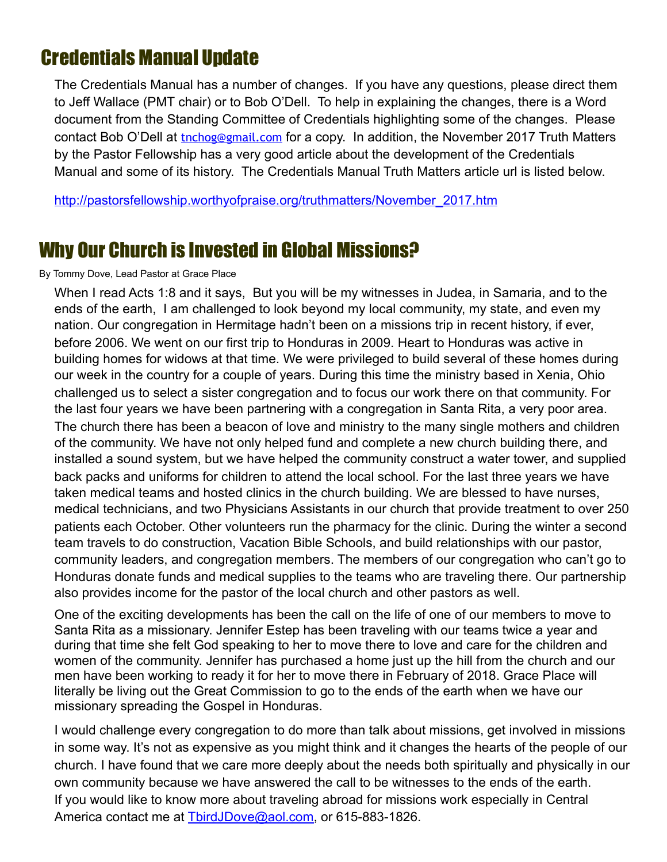## Credentials Manual Update

The Credentials Manual has a number of changes. If you have any questions, please direct them to Jeff Wallace (PMT chair) or to Bob O'Dell. To help in explaining the changes, there is a Word document from the Standing Committee of Credentials highlighting some of the changes. Please contact Bob O'Dell at thrchog@gmail.com for a copy. In addition, the November 2017 Truth Matters by the Pastor Fellowship has a very good article about the development of the Credentials Manual and some of its history. The Credentials Manual Truth Matters article url is listed below.

[http://pastorsfellowship.worthyofpraise.org/truthmatters/November\\_2017.htm](http://pastorsfellowship.worthyofpraise.org/truthmatters/November_2017.htm)

### Why Our Church is Invested in Global Missions?

#### By Tommy Dove, Lead Pastor at Grace Place

When I read Acts 1:8 and it says, But you will be my witnesses in Judea, in Samaria, and to the ends of the earth, I am challenged to look beyond my local community, my state, and even my nation. Our congregation in Hermitage hadn't been on a missions trip in recent history, if ever, before 2006. We went on our first trip to Honduras in 2009. Heart to Honduras was active in building homes for widows at that time. We were privileged to build several of these homes during our week in the country for a couple of years. During this time the ministry based in Xenia, Ohio challenged us to select a sister congregation and to focus our work there on that community. For the last four years we have been partnering with a congregation in Santa Rita, a very poor area. The church there has been a beacon of love and ministry to the many single mothers and children of the community. We have not only helped fund and complete a new church building there, and installed a sound system, but we have helped the community construct a water tower, and supplied back packs and uniforms for children to attend the local school. For the last three years we have taken medical teams and hosted clinics in the church building. We are blessed to have nurses, medical technicians, and two Physicians Assistants in our church that provide treatment to over 250 patients each October. Other volunteers run the pharmacy for the clinic. During the winter a second team travels to do construction, Vacation Bible Schools, and build relationships with our pastor, community leaders, and congregation members. The members of our congregation who can't go to Honduras donate funds and medical supplies to the teams who are traveling there. Our partnership also provides income for the pastor of the local church and other pastors as well.

One of the exciting developments has been the call on the life of one of our members to move to Santa Rita as a missionary. Jennifer Estep has been traveling with our teams twice a year and during that time she felt God speaking to her to move there to love and care for the children and women of the community. Jennifer has purchased a home just up the hill from the church and our men have been working to ready it for her to move there in February of 2018. Grace Place will literally be living out the Great Commission to go to the ends of the earth when we have our missionary spreading the Gospel in Honduras.

I would challenge every congregation to do more than talk about missions, get involved in missions in some way. It's not as expensive as you might think and it changes the hearts of the people of our church. I have found that we care more deeply about the needs both spiritually and physically in our own community because we have answered the call to be witnesses to the ends of the earth. If you would like to know more about traveling abroad for missions work especially in Central America contact me at [TbirdJDove@aol.com](mailto:TbirdJDove@aol.com), or 615-883-1826.